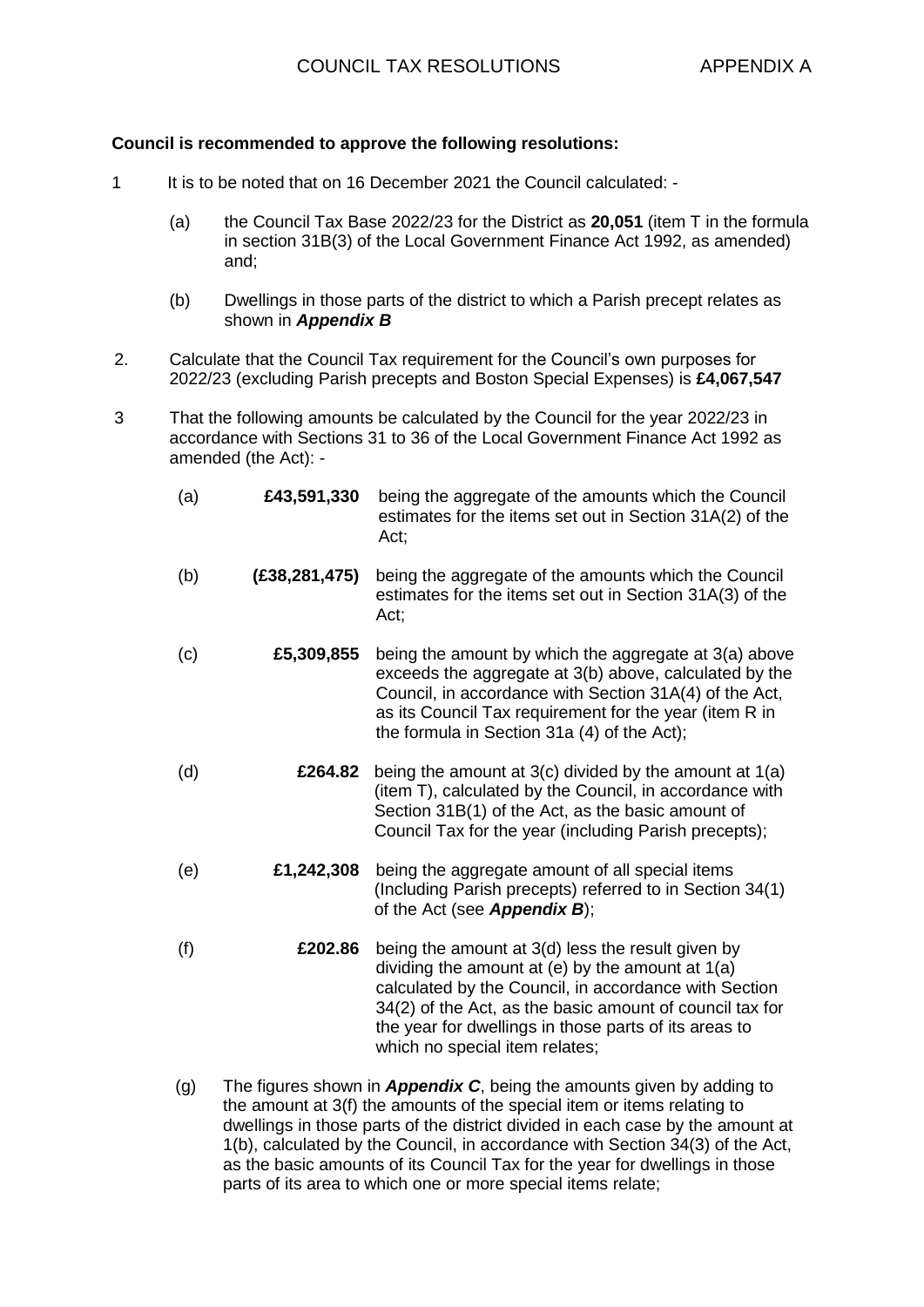## **Council is recommended to approve the following resolutions:**

- 1 It is to be noted that on 16 December 2021 the Council calculated:
	- (a) the Council Tax Base 2022/23 for the District as **20,051** (item T in the formula in section 31B(3) of the Local Government Finance Act 1992, as amended) and;
	- (b) Dwellings in those parts of the district to which a Parish precept relates as shown in *Appendix B*
- 2. Calculate that the Council Tax requirement for the Council's own purposes for 2022/23 (excluding Parish precepts and Boston Special Expenses) is **£4,067,547**
- 3 That the following amounts be calculated by the Council for the year 2022/23 in accordance with Sections 31 to 36 of the Local Government Finance Act 1992 as amended (the Act): -
	- (a) **£43,591,330** being the aggregate of the amounts which the Council estimates for the items set out in Section 31A(2) of the Act; (b) **(£38,281,475)** being the aggregate of the amounts which the Council estimates for the items set out in Section 31A(3) of the Act; (c) **£5,309,855** being the amount by which the aggregate at 3(a) above exceeds the aggregate at 3(b) above, calculated by the Council, in accordance with Section 31A(4) of the Act, as its Council Tax requirement for the year (item R in the formula in Section 31a (4) of the Act);
	- (d) **£264.82** being the amount at 3(c) divided by the amount at 1(a) (item T), calculated by the Council, in accordance with Section 31B(1) of the Act, as the basic amount of Council Tax for the year (including Parish precepts);
	- (e) **£1,242,308** being the aggregate amount of all special items (Including Parish precepts) referred to in Section 34(1) of the Act (see *Appendix B*);
	- (f) **£202.86** being the amount at 3(d) less the result given by dividing the amount at (e) by the amount at 1(a) calculated by the Council, in accordance with Section 34(2) of the Act, as the basic amount of council tax for the year for dwellings in those parts of its areas to which no special item relates;
	- (g) The figures shown in *Appendix C*, being the amounts given by adding to the amount at 3(f) the amounts of the special item or items relating to dwellings in those parts of the district divided in each case by the amount at 1(b), calculated by the Council, in accordance with Section 34(3) of the Act, as the basic amounts of its Council Tax for the year for dwellings in those parts of its area to which one or more special items relate;